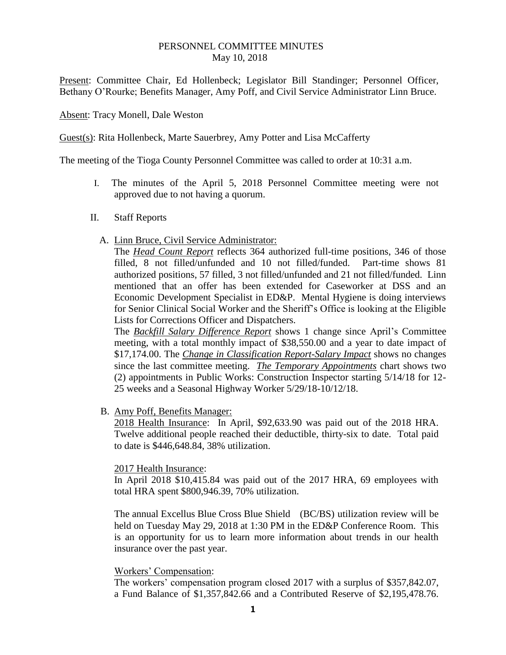## PERSONNEL COMMITTEE MINUTES May 10, 2018

Present: Committee Chair, Ed Hollenbeck; Legislator Bill Standinger; Personnel Officer, Bethany O'Rourke; Benefits Manager, Amy Poff, and Civil Service Administrator Linn Bruce.

Absent: Tracy Monell, Dale Weston

Guest(s): Rita Hollenbeck, Marte Sauerbrey, Amy Potter and Lisa McCafferty

The meeting of the Tioga County Personnel Committee was called to order at 10:31 a.m.

- I. The minutes of the April 5, 2018 Personnel Committee meeting were not approved due to not having a quorum.
- II. Staff Reports
	- A. Linn Bruce, Civil Service Administrator:

The *Head Count Report* reflects 364 authorized full-time positions, 346 of those filled, 8 not filled/unfunded and 10 not filled/funded. Part-time shows 81 authorized positions, 57 filled, 3 not filled/unfunded and 21 not filled/funded. Linn mentioned that an offer has been extended for Caseworker at DSS and an Economic Development Specialist in ED&P. Mental Hygiene is doing interviews for Senior Clinical Social Worker and the Sheriff's Office is looking at the Eligible Lists for Corrections Officer and Dispatchers.

The *Backfill Salary Difference Report* shows 1 change since April's Committee meeting, with a total monthly impact of \$38,550.00 and a year to date impact of \$17,174.00. The *Change in Classification Report-Salary Impact* shows no changes since the last committee meeting. *The Temporary Appointments* chart shows two (2) appointments in Public Works: Construction Inspector starting 5/14/18 for 12- 25 weeks and a Seasonal Highway Worker 5/29/18-10/12/18.

B. Amy Poff, Benefits Manager:

2018 Health Insurance: In April, \$92,633.90 was paid out of the 2018 HRA. Twelve additional people reached their deductible, thirty-six to date. Total paid to date is \$446,648.84, 38% utilization.

2017 Health Insurance:

In April 2018 \$10,415.84 was paid out of the 2017 HRA, 69 employees with total HRA spent \$800,946.39, 70% utilization.

The annual Excellus Blue Cross Blue Shield (BC/BS) utilization review will be held on Tuesday May 29, 2018 at 1:30 PM in the ED&P Conference Room. This is an opportunity for us to learn more information about trends in our health insurance over the past year.

## Workers' Compensation:

The workers' compensation program closed 2017 with a surplus of \$357,842.07, a Fund Balance of \$1,357,842.66 and a Contributed Reserve of \$2,195,478.76.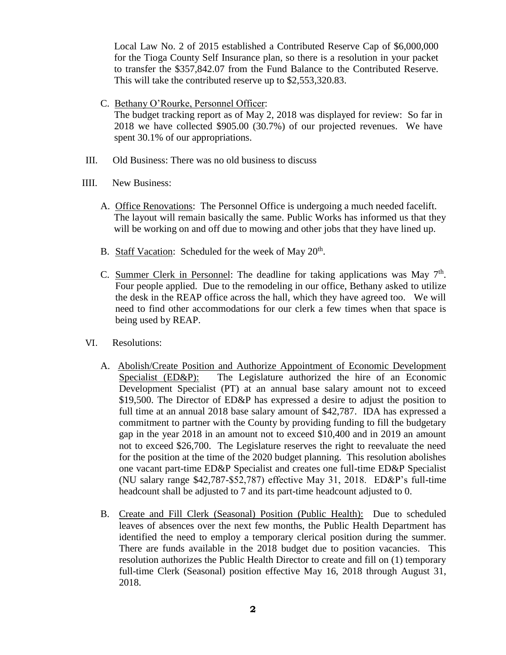Local Law No. 2 of 2015 established a Contributed Reserve Cap of \$6,000,000 for the Tioga County Self Insurance plan, so there is a resolution in your packet to transfer the \$357,842.07 from the Fund Balance to the Contributed Reserve. This will take the contributed reserve up to \$2,553,320.83.

## C. Bethany O'Rourke, Personnel Officer:

The budget tracking report as of May 2, 2018 was displayed for review: So far in 2018 we have collected \$905.00 (30.7%) of our projected revenues. We have spent 30.1% of our appropriations.

- III. Old Business: There was no old business to discuss
- IIII. New Business:
	- A. Office Renovations: The Personnel Office is undergoing a much needed facelift. The layout will remain basically the same. Public Works has informed us that they will be working on and off due to mowing and other jobs that they have lined up.
	- B. Staff Vacation: Scheduled for the week of May 20<sup>th</sup>.
	- C. Summer Clerk in Personnel: The deadline for taking applications was May  $7<sup>th</sup>$ . Four people applied. Due to the remodeling in our office, Bethany asked to utilize the desk in the REAP office across the hall, which they have agreed too. We will need to find other accommodations for our clerk a few times when that space is being used by REAP.
- VI. Resolutions:
	- A. Abolish/Create Position and Authorize Appointment of Economic Development Specialist (ED&P): The Legislature authorized the hire of an Economic Development Specialist (PT) at an annual base salary amount not to exceed \$19,500. The Director of ED&P has expressed a desire to adjust the position to full time at an annual 2018 base salary amount of \$42,787. IDA has expressed a commitment to partner with the County by providing funding to fill the budgetary gap in the year 2018 in an amount not to exceed \$10,400 and in 2019 an amount not to exceed \$26,700. The Legislature reserves the right to reevaluate the need for the position at the time of the 2020 budget planning. This resolution abolishes one vacant part-time ED&P Specialist and creates one full-time ED&P Specialist (NU salary range \$42,787-\$52,787) effective May 31, 2018. ED&P's full-time headcount shall be adjusted to 7 and its part-time headcount adjusted to 0.
	- B. Create and Fill Clerk (Seasonal) Position (Public Health): Due to scheduled leaves of absences over the next few months, the Public Health Department has identified the need to employ a temporary clerical position during the summer. There are funds available in the 2018 budget due to position vacancies. This resolution authorizes the Public Health Director to create and fill on (1) temporary full-time Clerk (Seasonal) position effective May 16, 2018 through August 31, 2018.